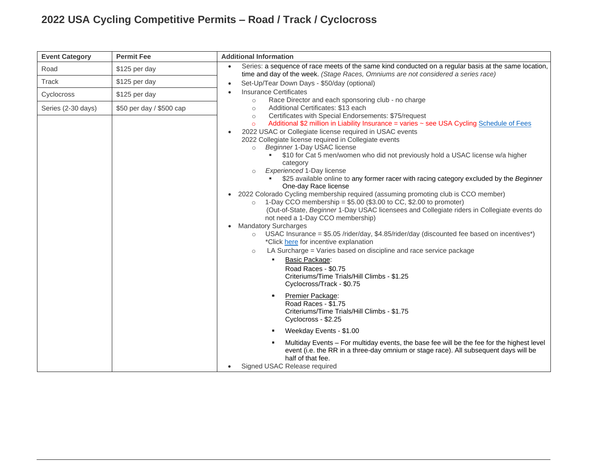## **2022 USA Cycling Competitive Permits – Road / Track / Cyclocross**

| <b>Event Category</b> | <b>Permit Fee</b>        | <b>Additional Information</b>                                                                                                                                                                                                                                                                                                                                                                                                                                                                                                                                                                                                                                                                                                                                                                                                                                                                                                                                                                                                                                                                                                                                                                                                                                                                                                                                                                                                                                                                                                                                                                                                                                                                                                                                               |
|-----------------------|--------------------------|-----------------------------------------------------------------------------------------------------------------------------------------------------------------------------------------------------------------------------------------------------------------------------------------------------------------------------------------------------------------------------------------------------------------------------------------------------------------------------------------------------------------------------------------------------------------------------------------------------------------------------------------------------------------------------------------------------------------------------------------------------------------------------------------------------------------------------------------------------------------------------------------------------------------------------------------------------------------------------------------------------------------------------------------------------------------------------------------------------------------------------------------------------------------------------------------------------------------------------------------------------------------------------------------------------------------------------------------------------------------------------------------------------------------------------------------------------------------------------------------------------------------------------------------------------------------------------------------------------------------------------------------------------------------------------------------------------------------------------------------------------------------------------|
| Road                  | \$125 per day            | Series: a sequence of race meets of the same kind conducted on a regular basis at the same location,<br>$\bullet$<br>time and day of the week. (Stage Races, Omniums are not considered a series race)                                                                                                                                                                                                                                                                                                                                                                                                                                                                                                                                                                                                                                                                                                                                                                                                                                                                                                                                                                                                                                                                                                                                                                                                                                                                                                                                                                                                                                                                                                                                                                      |
| Track                 | \$125 per day            | Set-Up/Tear Down Days - \$50/day (optional)<br>$\bullet$                                                                                                                                                                                                                                                                                                                                                                                                                                                                                                                                                                                                                                                                                                                                                                                                                                                                                                                                                                                                                                                                                                                                                                                                                                                                                                                                                                                                                                                                                                                                                                                                                                                                                                                    |
| Cyclocross            | \$125 per day            | <b>Insurance Certificates</b><br>Race Director and each sponsoring club - no charge<br>$\circ$                                                                                                                                                                                                                                                                                                                                                                                                                                                                                                                                                                                                                                                                                                                                                                                                                                                                                                                                                                                                                                                                                                                                                                                                                                                                                                                                                                                                                                                                                                                                                                                                                                                                              |
| Series (2-30 days)    | \$50 per day / \$500 cap | Additional Certificates: \$13 each<br>$\circ$<br>Certificates with Special Endorsements: \$75/request<br>$\circ$<br>Additional \$2 million in Liability Insurance = varies ~ see USA Cycling Schedule of Fees<br>$\circ$<br>2022 USAC or Collegiate license required in USAC events<br>2022 Collegiate license required in Collegiate events<br>Beginner 1-Day USAC license<br>$\circ$<br>\$10 for Cat 5 men/women who did not previously hold a USAC license w/a higher<br>category<br>Experienced 1-Day license<br>$\circ$<br>\$25 available online to any former racer with racing category excluded by the Beginner<br>One-day Race license<br>2022 Colorado Cycling membership required (assuming promoting club is CCO member)<br>$\bullet$<br>1-Day CCO membership = \$5.00 (\$3.00 to CC, \$2.00 to promoter)<br>$\circ$<br>(Out-of-State, Beginner 1-Day USAC licensees and Collegiate riders in Collegiate events do<br>not need a 1-Day CCO membership)<br><b>Mandatory Surcharges</b><br>USAC Insurance = \$5.05 /rider/day, \$4.85/rider/day (discounted fee based on incentives*)<br>$\circ$<br>*Click here for incentive explanation<br>LA Surcharge = Varies based on discipline and race service package<br>$\circ$<br>Basic Package:<br>٠<br>Road Races - \$0.75<br>Criteriums/Time Trials/Hill Climbs - \$1.25<br>Cyclocross/Track - \$0.75<br>Premier Package:<br>$\blacksquare$<br>Road Races - \$1.75<br>Criteriums/Time Trials/Hill Climbs - \$1.75<br>Cyclocross - \$2.25<br>Weekday Events - \$1.00<br>٠<br>Multiday Events - For multiday events, the base fee will be the fee for the highest level<br>event (i.e. the RR in a three-day omnium or stage race). All subsequent days will be<br>half of that fee.<br>Signed USAC Release required |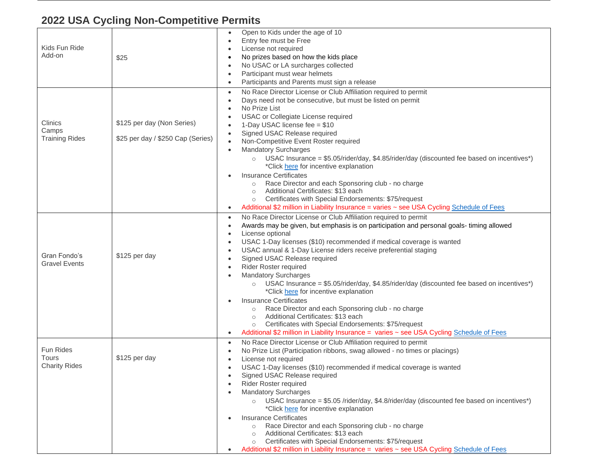## **2022 USA Cycling Non-Competitive Permits**

| Kids Fun Ride<br>Add-on                                  | \$25                                                            | Open to Kids under the age of 10<br>$\bullet$<br>Entry fee must be Free<br>License not required<br>No prizes based on how the kids place<br>No USAC or LA surcharges collected<br>Participant must wear helmets<br>Participants and Parents must sign a release                                                                                                                                                                                                                                                                                                                                                                                                                                                                                                                                          |
|----------------------------------------------------------|-----------------------------------------------------------------|----------------------------------------------------------------------------------------------------------------------------------------------------------------------------------------------------------------------------------------------------------------------------------------------------------------------------------------------------------------------------------------------------------------------------------------------------------------------------------------------------------------------------------------------------------------------------------------------------------------------------------------------------------------------------------------------------------------------------------------------------------------------------------------------------------|
| Clinics<br>Camps<br><b>Training Rides</b>                | \$125 per day (Non Series)<br>\$25 per day / \$250 Cap (Series) | No Race Director License or Club Affiliation required to permit<br>$\bullet$<br>Days need not be consecutive, but must be listed on permit<br>No Prize List<br>USAC or Collegiate License required<br>1-Day USAC license fee = \$10<br>Signed USAC Release required<br>Non-Competitive Event Roster required<br><b>Mandatory Surcharges</b><br>USAC Insurance = $$5.05/rider/day, $4.85/rider/day$ (discounted fee based on incentives*)<br>$\circ$<br>*Click here for incentive explanation<br><b>Insurance Certificates</b><br>Race Director and each Sponsoring club - no charge<br>$\circ$<br>Additional Certificates: \$13 each<br>$\circ$                                                                                                                                                          |
|                                                          |                                                                 | Certificates with Special Endorsements: \$75/request<br>$\circ$<br>Additional \$2 million in Liability Insurance = varies ~ see USA Cycling Schedule of Fees<br>٠                                                                                                                                                                                                                                                                                                                                                                                                                                                                                                                                                                                                                                        |
| Gran Fondo's<br><b>Gravel Events</b>                     | \$125 per day                                                   | No Race Director License or Club Affiliation required to permit<br>$\bullet$<br>Awards may be given, but emphasis is on participation and personal goals- timing allowed<br>License optional<br>$\bullet$<br>USAC 1-Day licenses (\$10) recommended if medical coverage is wanted<br>USAC annual & 1-Day License riders receive preferential staging<br>Signed USAC Release required<br>Rider Roster required<br><b>Mandatory Surcharges</b><br>USAC Insurance = \$5.05/rider/day, \$4.85/rider/day (discounted fee based on incentives*)<br>*Click here for incentive explanation<br><b>Insurance Certificates</b><br>Race Director and each Sponsoring club - no charge<br>$\circ$<br>Additional Certificates: \$13 each<br>$\circ$<br>Certificates with Special Endorsements: \$75/request<br>$\circ$ |
|                                                          |                                                                 | Additional \$2 million in Liability Insurance = varies ~ see USA Cycling Schedule of Fees<br>٠                                                                                                                                                                                                                                                                                                                                                                                                                                                                                                                                                                                                                                                                                                           |
| <b>Fun Rides</b><br><b>Tours</b><br><b>Charity Rides</b> | \$125 per day                                                   | No Race Director License or Club Affiliation required to permit<br>$\bullet$<br>No Prize List (Participation ribbons, swag allowed - no times or placings)<br>License not required<br>USAC 1-Day licenses (\$10) recommended if medical coverage is wanted<br>Signed USAC Release required<br>Rider Roster required<br><b>Mandatory Surcharges</b><br>$\circ$ USAC Insurance = \$5.05 /rider/day, \$4.8/rider/day (discounted fee based on incentives*)<br>*Click here for incentive explanation<br><b>Insurance Certificates</b>                                                                                                                                                                                                                                                                        |
|                                                          |                                                                 | Race Director and each Sponsoring club - no charge<br>$\circ$<br>Additional Certificates: \$13 each<br>$\circ$<br>Certificates with Special Endorsements: \$75/request<br>$\circ$<br>Additional \$2 million in Liability Insurance = varies ~ see USA Cycling Schedule of Fees                                                                                                                                                                                                                                                                                                                                                                                                                                                                                                                           |